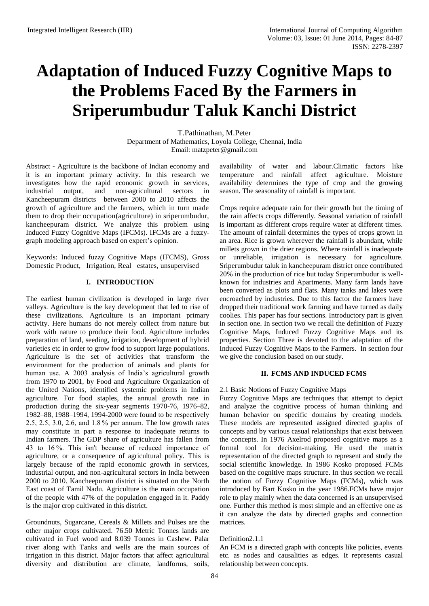# **Adaptation of Induced Fuzzy Cognitive Maps to the Problems Faced By the Farmers in Sriperumbudur Taluk Kanchi District**

T.Pathinathan, M.Peter Department of Mathematics, Loyola College, Chennai, India Email: [matzpeter@gmail.com](mailto:matzpeter@gmail.com)

Abstract - Agriculture is the backbone of Indian economy and it is an important primary activity. In this research we investigates how the rapid economic growth in services, industrial output, and non-agricultural sectors in Kancheepuram districts between 2000 to 2010 affects the growth of agriculture and the farmers, which in turn made them to drop their occupation(agriculture) in sriperumbudur, kancheepuram district. We analyze this problem using Induced Fuzzy Cognitive Maps (IFCMs). IFCMs are a fuzzygraph modeling approach based on expert's opinion.

Keywords: Induced fuzzy Cognitive Maps (IFCMS), Gross Domestic Product, Irrigation, Real estates, unsupervised

# **I. INTRODUCTION**

The earliest human civilization is developed in large river valleys. Agriculture is the key development that led to rise of these civilizations. Agriculture is an important primary activity. Here humans do not merely collect from nature but work with nature to produce their food. Agriculture includes preparation of land, seeding, irrigation, development of hybrid varieties etc in order to grow food to support large populations. Agriculture is the set of activities that transform the environment for the production of animals and plants for human use. A 2003 analysis of India's agricultural growth from 1970 to 2001, by Food and Agriculture Organization of the United Nations, identified systemic problems in Indian agriculture. For food staples, the annual growth rate in production during the six-year segments 1970-76, 1976–82, 1982–88, 1988–1994, 1994-2000 were found to be respectively 2.5, 2.5, 3.0, 2.6, and 1.8 % per annum. The low growth rates may constitute in part a response to inadequate returns to Indian farmers. The GDP share of agriculture has fallen from 43 to 16 %. This isn't because of reduced importance of agriculture, or a consequence of agricultural policy. This is largely because of the rapid economic growth in services, industrial output, and non-agricultural sectors in India between 2000 to 2010. Kancheepuram district is situated on the North East coast of Tamil Nadu. Agriculture is the main occupation of the people with 47% of the population engaged in it. Paddy is the major crop cultivated in this district.

Groundnuts, Sugarcane, Cereals & Millets and Pulses are the other major crops cultivated. 76.50 Metric Tonnes lands are cultivated in Fuel wood and 8.039 Tonnes in Cashew. Palar river along with Tanks and wells are the main sources of irrigation in this district. Major factors that affect agricultural diversity and distribution are climate, landforms, soils,

availability of water and labour.Climatic factors like temperature and rainfall affect agriculture. Moisture availability determines the type of crop and the growing season. The seasonality of rainfall is important.

Crops require adequate rain for their growth but the timing of the rain affects crops differently. Seasonal variation of rainfall is important as different crops require water at different times. The amount of rainfall determines the types of crops grown in an area. Rice is grown wherever the rainfall is abundant, while millets grown in the drier regions. Where rainfall is inadequate or unreliable, irrigation is necessary for agriculture. Sriperumbudur taluk in kancheepuram district once contributed 20% in the production of rice but today Sriperumbudur is wellknown for industries and Apartments. Many farm lands have been converted as plots and flats. Many tanks and lakes were encroached by industries. Due to this factor the farmers have dropped their traditional work farming and have turned as daily coolies. This paper has four sections. Introductory part is given in section one. In section two we recall the definition of Fuzzy Cognitive Maps, Induced Fuzzy Cognitive Maps and its properties. Section Three is devoted to the adaptation of the Induced Fuzzy Cognitive Maps to the Farmers. In section four we give the conclusion based on our study.

# **II. FCMS AND INDUCED FCMS**

# 2.1 Basic Notions of Fuzzy Cognitive Maps

Fuzzy Cognitive Maps are techniques that attempt to depict and analyze the cognitive process of human thinking and human behavior on specific domains by creating models. These models are represented assigned directed graphs of concepts and by various casual relationships that exist between the concepts. In 1976 Axelrod proposed cognitive maps as a formal tool for decision-making. He used the matrix representation of the directed graph to represent and study the social scientific knowledge. In 1986 Kosko proposed FCMs based on the cognitive maps structure. In thus section we recall the notion of Fuzzy Cognitive Maps (FCMs), which was introduced by Bart Kosko in the year 1986.FCMs have major role to play mainly when the data concerned is an unsupervised one. Further this method is most simple and an effective one as it can analyze the data by directed graphs and connection matrices.

## Definition2.1.1

An FCM is a directed graph with concepts like policies, events etc. as nodes and causalities as edges. It represents casual relationship between concepts.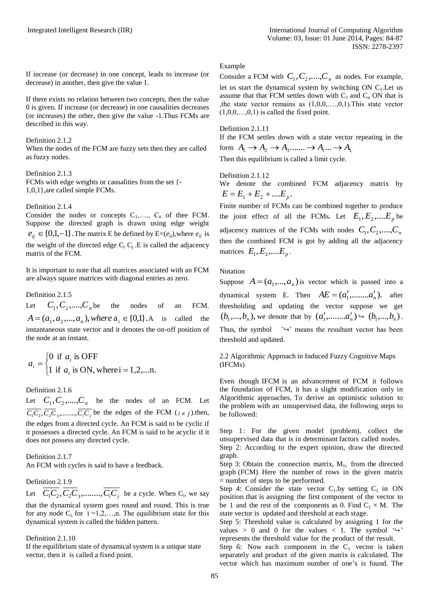If increase (or decrease) in one concept, leads to increase (or decrease) in another, then give the value 1.

If there exists no relation between two concepts, then the value 0 is given. If increase (or decrease) in one causalities decreases (or increases) the other, then give the value -1.Thus FCMs are described in this way.

#### Definition 2.1.2

When the nodes of the FCM are fuzzy sets then they are called as fuzzy nodes.

#### Definition 2.1.3

FCMs with edge weights or causalities from the set {- 1,0,1},are called simple FCMs.

#### Definition 2.1.4

Consider the nodes or concepts  $C_1, \ldots, C_n$  of thee FCM. Suppose the directed graph is drawn using edge weight  $e_{ij} \in \{0,1,-1\}$ . The matrix E be defined by  $E=(e_{ij})$ , where  $e_{ij}$  is the weight of the directed edge  $C_i$ ,  $C_j$ . E is called the adjacency matrix of the FCM.

It is important to note that all matrices associated with an FCM are always square matrices with diagonal entries as zero.

Definition 2.1.5

Let  $C_1, C_2, \ldots, C_n$  be the nodes of an FCM.  $A = (a_1, a_2, ..., a_n)$ , where  $a_i \in \{0,1\}$ . *A* is called the instantaneous state vector and it denotes the on-off position of the node at an instant.

$$
a_i = \begin{cases} 0 \text{ if } a_i \text{ is OFF} \\ 1 \text{ if } a_i \text{ is ON, where } i = 1, 2, \dots \text{n.} \end{cases}
$$

Definition 2.1.6

Let  $C_1, C_2, \ldots, C_n$  be the nodes of an FCM. Let  $\overline{C_1C_2}$ ,  $\overline{C_2C_3}$ , ........,  $\overline{C_iC_j}$  be the edges of the FCM  $(i \neq j)$ .then, the edges from a directed cycle. An FCM is said to be cyclic if it possesses a directed cycle. An FCM is said to be acyclic if it does not possess any directed cycle.

Definition 2.1.7 An FCM with cycles is said to have a feedback.

### Definition 2.1.9

Let  $C_1C_2$ ,  $C_2C_3$ ,.......,  $C_iC_j$  be a cycle. When  $C_i$ , we say that the dynamical system goes round and round. This is true for any node  $C_i$ , for  $i = 1, 2, \ldots, n$ . The equilibrium state for this dynamical system is called the hidden pattern.

#### Definition 2.1.10

If the equilibrium state of dynamical system is a unique state vector, then it is called a fixed point.

#### Example

Consider a FCM with  $C_1, C_2, \ldots, C_n$  as nodes. For example, let us start the dynamical system by switching ON  $C_1$ . Let us assume that that FCM settles down with  $C_1$  and  $C_n$  ON that is ,the state vector remains as  $(1,0,0,...,0,1)$ . This state vector  $(1,0,0,\ldots,0,1)$  is called the fixed point.

## Definition 2.1.11

If the FCM settles down with a state vector repeating in the form  $A_1 \rightarrow A_2 \rightarrow A_3$ .......  $\rightarrow A_i$ ...  $\rightarrow A_1$ 

Then this equilibrium is called a limit cycle.

#### Definition 2.1.12

We denote the combined FCM adjacency matrix by  $E = E_1 + E_2 + \dots E_n$ 

Finite number of FCMs can be combined together to produce the joint effect of all the FCMs. Let  $E_1, E_2, ....E_p$  be adjacency matrices of the FCMs with nodes  $C_1, C_2, \ldots, C_n$ then the combined FCM is got by adding all the adjacency matrices  $E_1, E_2, \ldots, E_p$ .

## Notation

Suppose  $A = (a_1, ..., a_n)$  is vector which is passed into a dynamical system E. Then  $AE = (a'_1, \dots, a'_n)$ , after thresholding and updating the vector suppose we get  $(b_1, ..., b_n)$ , we denote that by  $(a'_1, ..., a'_n) \hookrightarrow (b_1, ..., b_n)$ . Thus, the symbol  $\rightarrow$ <sup>' $\leftrightarrow$ </sup>' means the resultant vector has been threshold and updated.

2.2 Algorithmic Approach in Induced Fuzzy Cognitive Maps (IFCMs)

Even though IFCM is an advancement of FCM it follows the foundation of FCM, it has a slight modification only in Algorithmic approaches. To derive an optimistic solution to the problem with an unsupervised data, the following steps to be followed:

Step 1: For the given model (problem), collect the unsupervised data that is in determinant factors called nodes. Step 2: According to the expert opinion, draw the directed graph.

Step 3: Obtain the connection matrix,  $M_1$ , from the directed graph (FCM). Here the number of rows in the given matrix = number of steps to be performed.

Step 4: Consider the state vector  $C_1$  by setting  $C_1$  in ON position that is assigning the first component of the vector to be 1 and the rest of the components as 0. Find  $C_1 \times M$ . The state vector is updated and threshold at each stage.

Step 5: Threshold value is calculated by assigning 1 for the values > 0 and 0 for the values < 1. The symbol  $\lq \rightharpoonup$ represents the threshold value for the product of the result.

Step 6: Now each component in the  $C_1$  vector is taken separately and product of the given matrix is calculated. The vector which has maximum number of one's is found. The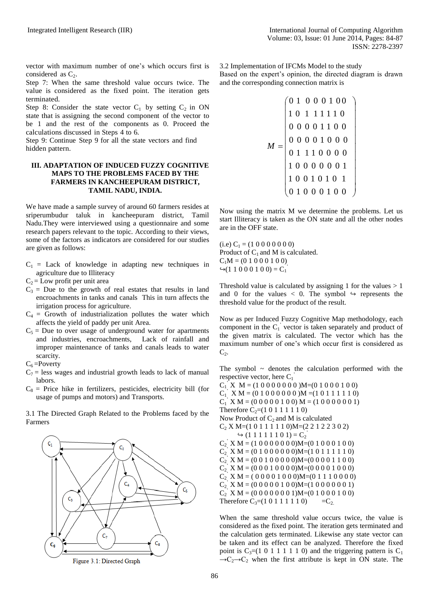vector with maximum number of one's which occurs first is considered as  $C_2$ .

Step 7: When the same threshold value occurs twice. The value is considered as the fixed point. The iteration gets terminated.

Step 8: Consider the state vector  $C_1$  by setting  $C_2$  in ON state that is assigning the second component of the vector to be 1 and the rest of the components as 0. Proceed the calculations discussed in Steps 4 to 6.

Step 9: Continue Step 9 for all the state vectors and find hidden pattern.

## **III. ADAPTATION OF INDUCED FUZZY COGNITIVE MAPS TO THE PROBLEMS FACED BY THE FARMERS IN KANCHEEPURAM DISTRICT, TAMIL NADU, INDIA.**

We have made a sample survey of around 60 farmers resides at sriperumbudur taluk in kancheepuram district, Tamil Nadu.They were interviewed using a questionnaire and some research papers relevant to the topic. According to their views, some of the factors as indicators are considered for our studies are given as follows:

- $C_1$  = Lack of knowledge in adapting new techniques in agriculture due to Illiteracy
- $C_2$  = Low profit per unit area
- $C_3$  = Due to the growth of real estates that results in land encroachments in tanks and canals This in turn affects the irrigation process for agriculture.
- $C_4$  = Growth of industrialization pollutes the water which affects the yield of paddy per unit Area.
- $C_5$  = Due to over usage of underground water for apartments and industries, encroachments, Lack of rainfall and improper maintenance of tanks and canals leads to water scarcity.
- $C_6$  = Poverty
- $C_7$  = less wages and industrial growth leads to lack of manual labors.
- $C_8$  = Price hike in fertilizers, pesticides, electricity bill (for usage of pumps and motors) and Transports.

3.1 The Directed Graph Related to the Problems faced by the Farmers



Figure 3.1: Directed Graph

3.2 Implementation of IFCMs Model to the study

Based on the expert's opinion, the directed diagram is drawn and the corresponding connection matrix is

$$
M = \begin{pmatrix} 0 & 1 & 0 & 0 & 1 & 0 & 0 \\ 1 & 0 & 1 & 1 & 1 & 1 & 1 & 0 \\ 0 & 0 & 0 & 0 & 1 & 1 & 0 & 0 \\ 0 & 0 & 0 & 0 & 1 & 0 & 0 & 0 \\ 0 & 1 & 1 & 1 & 0 & 0 & 0 & 0 \\ 1 & 0 & 0 & 0 & 0 & 0 & 0 & 1 \\ 1 & 0 & 0 & 1 & 0 & 1 & 0 & 1 \\ 0 & 1 & 0 & 0 & 0 & 1 & 0 & 0 \end{pmatrix}
$$

Now using the matrix M we determine the problems. Let us start Illiteracy is taken as the ON state and all the other nodes are in the OFF state.

 $(i.e) C<sub>1</sub> = (1 0 0 0 0 0 0 0)$ Product of  $C_1$  and M is calculated.  $C_1M = (0 1 0 0 0 1 0 0)$  $\rightarrow$  (1 1 0 0 0 1 0 0) = C<sub>1</sub><sup>2</sup>

*M*

Threshold value is calculated by assigning 1 for the values  $> 1$ and 0 for the values  $\langle 0 \rangle$ . The symbol  $\leftrightarrow$  represents the threshold value for the product of the result.

Now as per Induced Fuzzy Cognitive Map methodology, each component in the  $C_1$ <sup>'</sup> vector is taken separately and product of the given matrix is calculated. The vector which has the maximum number of one's which occur first is considered as  $C_2$ .

The symbol  $\sim$  denotes the calculation performed with the respective vector, here  $C_1$ <sup>'</sup>

 $C_1$ <sup>\*</sup> $X$  M = (1 0 0 0 0 0 0 0 )M=(0 1 0 0 0 1 0 0)  $C_1$ <sup>'</sup> X M = (0 1 0 0 0 0 0 0 )M = (1 0 1 1 1 1 1 0)  $C_1$ <sup>'</sup> X M = (0 0 0 0 0 1 0 0) M = (1 0 0 0 0 0 0 1) Therefore  $C_2$ =(1 0 1 1 1 1 1 0) Now Product of  $C_2$  and M is calculated C<sup>2</sup> X M=(1 0 1 1 1 1 1 0)M=(2 2 1 2 2 3 0 2)  $\leftrightarrow$  (1 1 1 1 1 1 0 1) =  $C_2$ <sup>'</sup>  $C_2$ <sup>'</sup> X M = (1 0 0 0 0 0 0 0)M=(0 1 0 0 0 1 0 0)  $C_2$ <sup>'</sup> X M = (0 1 0 0 0 0 0 0)M=(1 0 1 1 1 1 1 0)  $C_2$ <sup>'</sup> X M = (0 0 1 0 0 0 0 0)M=(0 0 0 0 1 1 0 0)  $C_2$ <sup>'</sup> X M = (0 0 0 1 0 0 0 0)M=(0 0 0 0 1 0 0 0)  $C_2$ <sup>'</sup> X M = ( 0 0 0 0 1 0 0 0)M=(0 1 1 1 0 0 0 0)  $C_2$ <sup>'</sup> X M = (0 0 0 0 0 1 0 0)M=(1 0 0 0 0 0 0 1)  $C_2$ <sup>'</sup> X M = (0 0 0 0 0 0 0 1)M=(0 1 0 0 0 1 0 0) Therefore  $C_3 = (1 \ 0 \ 1 \ 1 \ 1 \ 1 \ 1 \ 0) = C_2$ .

When the same threshold value occurs twice, the value is considered as the fixed point. The iteration gets terminated and the calculation gets terminated. Likewise any state vector can be taken and its effect can be analyzed. Therefore the fixed point is  $C_3 = (1 \ 0 \ 1 \ 1 \ 1 \ 1 \ 1 \ 0)$  and the triggering pattern is  $C_1$  $\rightarrow C_2 \rightarrow C_2$  when the first attribute is kept in ON state. The